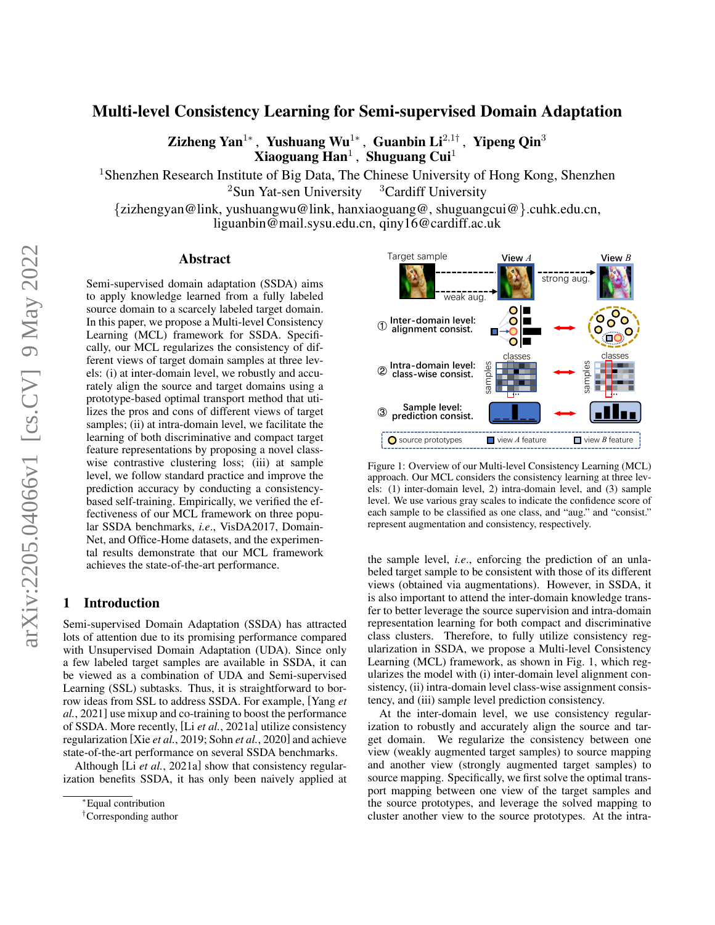# Multi-level Consistency Learning for Semi-supervised Domain Adaptation

Zizheng Yan<sup>1</sup>\*, Yushuang Wu<sup>1</sup>\*, Guanbin Li<sup>2,1†</sup>, Yipeng Qin<sup>3</sup>  $X$ iaoguang  $\mathbf{Han}^1$  , Shuguang Cui $^1$ 

<sup>1</sup>Shenzhen Research Institute of Big Data, The Chinese University of Hong Kong, Shenzhen  $2$ Sun Yat-sen University  $3$ Cardiff University

{zizhengyan@link, yushuangwu@link, hanxiaoguang@, shuguangcui@}.cuhk.edu.cn, liguanbin@mail.sysu.edu.cn, qiny16@cardiff.ac.uk

### Abstract

Semi-supervised domain adaptation (SSDA) aims to apply knowledge learned from a fully labeled source domain to a scarcely labeled target domain. In this paper, we propose a Multi-level Consistency Learning (MCL) framework for SSDA. Specifically, our MCL regularizes the consistency of different views of target domain samples at three levels: (i) at inter-domain level, we robustly and accurately align the source and target domains using a prototype-based optimal transport method that utilizes the pros and cons of different views of target samples; (ii) at intra-domain level, we facilitate the learning of both discriminative and compact target feature representations by proposing a novel classwise contrastive clustering loss; (iii) at sample level, we follow standard practice and improve the prediction accuracy by conducting a consistencybased self-training. Empirically, we verified the effectiveness of our MCL framework on three popular SSDA benchmarks, *i.e*., VisDA2017, Domain-Net, and Office-Home datasets, and the experimental results demonstrate that our MCL framework achieves the state-of-the-art performance.

## 1 Introduction

Semi-supervised Domain Adaptation (SSDA) has attracted lots of attention due to its promising performance compared with Unsupervised Domain Adaptation (UDA). Since only a few labeled target samples are available in SSDA, it can be viewed as a combination of UDA and Semi-supervised Learning (SSL) subtasks. Thus, it is straightforward to borrow ideas from SSL to address SSDA. For example, [\[Yang](#page-6-0) *et al.*[, 2021\]](#page-6-0) use mixup and co-training to boost the performance of SSDA. More recently, [Li *et al.*[, 2021a\]](#page-6-1) utilize consistency regularization [Xie *et al.*[, 2019;](#page-6-2) Sohn *et al.*[, 2020\]](#page-6-3) and achieve state-of-the-art performance on several SSDA benchmarks.

Although [Li *et al.*[, 2021a\]](#page-6-1) show that consistency regularization benefits SSDA, it has only been naively applied at

<span id="page-0-0"></span>

Figure 1: Overview of our Multi-level Consistency Learning (MCL) approach. Our MCL considers the consistency learning at three levels: (1) inter-domain level, 2) intra-domain level, and (3) sample level. We use various gray scales to indicate the confidence score of each sample to be classified as one class, and "aug." and "consist." represent augmentation and consistency, respectively.

the sample level, *i.e*., enforcing the prediction of an unlabeled target sample to be consistent with those of its different views (obtained via augmentations). However, in SSDA, it is also important to attend the inter-domain knowledge transfer to better leverage the source supervision and intra-domain representation learning for both compact and discriminative class clusters. Therefore, to fully utilize consistency regularization in SSDA, we propose a Multi-level Consistency Learning (MCL) framework, as shown in Fig. [1,](#page-0-0) which regularizes the model with (i) inter-domain level alignment consistency, (ii) intra-domain level class-wise assignment consistency, and (iii) sample level prediction consistency.

At the inter-domain level, we use consistency regularization to robustly and accurately align the source and target domain. We regularize the consistency between one view (weakly augmented target samples) to source mapping and another view (strongly augmented target samples) to source mapping. Specifically, we first solve the optimal transport mapping between one view of the target samples and the source prototypes, and leverage the solved mapping to cluster another view to the source prototypes. At the intra-

<sup>∗</sup>Equal contribution

<sup>†</sup>Corresponding author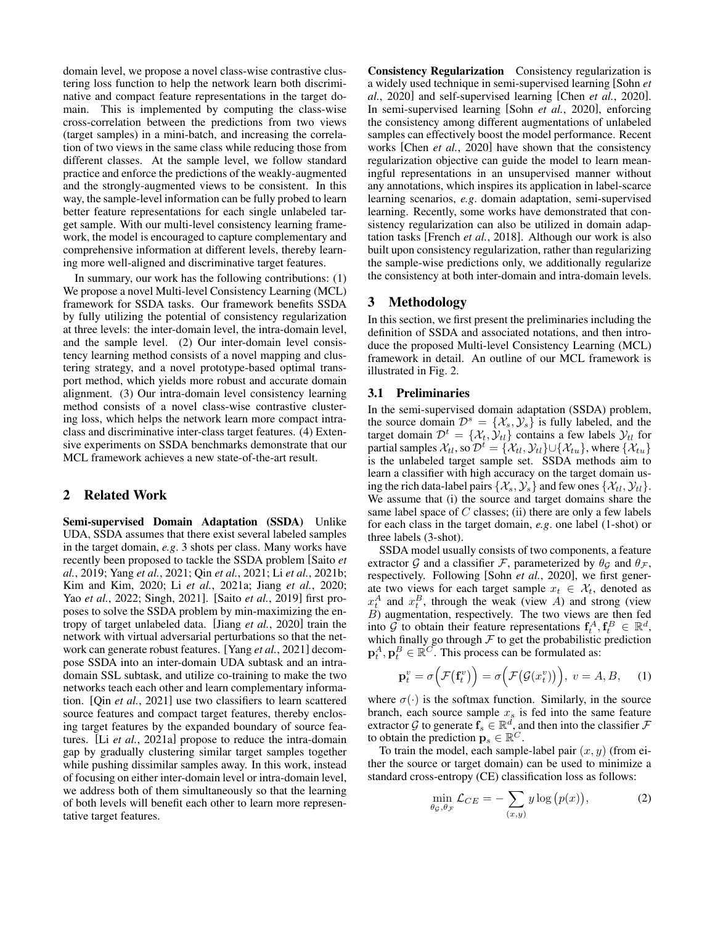domain level, we propose a novel class-wise contrastive clustering loss function to help the network learn both discriminative and compact feature representations in the target domain. This is implemented by computing the class-wise cross-correlation between the predictions from two views (target samples) in a mini-batch, and increasing the correlation of two views in the same class while reducing those from different classes. At the sample level, we follow standard practice and enforce the predictions of the weakly-augmented and the strongly-augmented views to be consistent. In this way, the sample-level information can be fully probed to learn better feature representations for each single unlabeled target sample. With our multi-level consistency learning framework, the model is encouraged to capture complementary and comprehensive information at different levels, thereby learning more well-aligned and discriminative target features.

In summary, our work has the following contributions: (1) We propose a novel Multi-level Consistency Learning (MCL) framework for SSDA tasks. Our framework benefits SSDA by fully utilizing the potential of consistency regularization at three levels: the inter-domain level, the intra-domain level, and the sample level. (2) Our inter-domain level consistency learning method consists of a novel mapping and clustering strategy, and a novel prototype-based optimal transport method, which yields more robust and accurate domain alignment. (3) Our intra-domain level consistency learning method consists of a novel class-wise contrastive clustering loss, which helps the network learn more compact intraclass and discriminative inter-class target features. (4) Extensive experiments on SSDA benchmarks demonstrate that our MCL framework achieves a new state-of-the-art result.

## 2 Related Work

Semi-supervised Domain Adaptation (SSDA) Unlike UDA, SSDA assumes that there exist several labeled samples in the target domain, *e.g*. 3 shots per class. Many works have recently been proposed to tackle the SSDA problem [\[Saito](#page-6-4) *et al.*[, 2019;](#page-6-4) Yang *et al.*[, 2021;](#page-6-0) Qin *et al.*[, 2021;](#page-6-5) Li *et al.*[, 2021b;](#page-6-6) [Kim and Kim, 2020;](#page-6-7) Li *et al.*[, 2021a;](#page-6-1) Jiang *et al.*[, 2020;](#page-6-8) Yao *et al.*[, 2022;](#page-6-9) [Singh, 2021\]](#page-6-10). [Saito *et al.*[, 2019\]](#page-6-4) first proposes to solve the SSDA problem by min-maximizing the entropy of target unlabeled data. [Jiang *et al.*[, 2020\]](#page-6-8) train the network with virtual adversarial perturbations so that the network can generate robust features. [Yang *et al.*[, 2021\]](#page-6-0) decompose SSDA into an inter-domain UDA subtask and an intradomain SSL subtask, and utilize co-training to make the two networks teach each other and learn complementary information. [Qin *et al.*[, 2021\]](#page-6-5) use two classifiers to learn scattered source features and compact target features, thereby enclosing target features by the expanded boundary of source features. [Li *et al.*[, 2021a\]](#page-6-1) propose to reduce the intra-domain gap by gradually clustering similar target samples together while pushing dissimilar samples away. In this work, instead of focusing on either inter-domain level or intra-domain level, we address both of them simultaneously so that the learning of both levels will benefit each other to learn more representative target features.

Consistency Regularization Consistency regularization is a widely used technique in semi-supervised learning [\[Sohn](#page-6-3) *et al.*[, 2020\]](#page-6-3) and self-supervised learning [Chen *et al.*[, 2020\]](#page-6-11). In semi-supervised learning [Sohn *et al.*[, 2020\]](#page-6-3), enforcing the consistency among different augmentations of unlabeled samples can effectively boost the model performance. Recent works [Chen *et al.*[, 2020\]](#page-6-11) have shown that the consistency regularization objective can guide the model to learn meaningful representations in an unsupervised manner without any annotations, which inspires its application in label-scarce learning scenarios, *e.g*. domain adaptation, semi-supervised learning. Recently, some works have demonstrated that consistency regularization can also be utilized in domain adaptation tasks [\[French](#page-6-12) *et al.*, 2018]. Although our work is also built upon consistency regularization, rather than regularizing the sample-wise predictions only, we additionally regularize the consistency at both inter-domain and intra-domain levels.

## 3 Methodology

In this section, we first present the preliminaries including the definition of SSDA and associated notations, and then introduce the proposed Multi-level Consistency Learning (MCL) framework in detail. An outline of our MCL framework is illustrated in Fig. [2.](#page-2-0)

### 3.1 Preliminaries

In the semi-supervised domain adaptation (SSDA) problem, the source domain  $\mathcal{D}^s = \{ \mathcal{X}_s, \mathcal{Y}_s \}$  is fully labeled, and the target domain  $\mathcal{D}^t = {\mathcal{X}_t, \mathcal{Y}_t}$  contains a few labels  $\mathcal{Y}_{t_l}$  for partial samples  $\mathcal{X}_{tl}$ , so  $\mathcal{D}^t = {\mathcal{X}_{tl}, \mathcal{Y}_{tl}} \cup {\mathcal{X}_{tu}}$ , where  ${\mathcal{X}_{tu}}$ is the unlabeled target sample set. SSDA methods aim to learn a classifier with high accuracy on the target domain using the rich data-label pairs  $\{\mathcal{X}_s, \mathcal{Y}_s\}$  and few ones  $\{\mathcal{X}_{tl}, \mathcal{Y}_{tl}\}.$ We assume that (i) the source and target domains share the same label space of  $C$  classes; (ii) there are only a few labels for each class in the target domain, *e.g*. one label (1-shot) or three labels (3-shot).

SSDA model usually consists of two components, a feature extractor G and a classifier F, parameterized by  $\theta_G$  and  $\theta_F$ , respectively. Following [Sohn *et al.*[, 2020\]](#page-6-3), we first generate two views for each target sample  $x_t \in \mathcal{X}_t$ , denoted as  $x_t^A$  and  $x_t^B$ , through the weak (view A) and strong (view B) augmentation, respectively. The two views are then fed into G to obtain their feature representations  $\mathbf{f}_t^A, \mathbf{f}_t^B \in \mathbb{R}^d$ , which finally go through  $F$  to get the probabilistic prediction  $\mathbf{p}_t^A$ ,  $\mathbf{p}_t^B \in \mathbb{R}^C$ . This process can be formulated as:

$$
\mathbf{p}_t^v = \sigma\Big(\mathcal{F}\big(\mathbf{f}_t^v\big)\Big) = \sigma\Big(\mathcal{F}\big(\mathcal{G}(x_t^v)\big)\Big), \ v = A, B, \quad (1)
$$

where  $\sigma(\cdot)$  is the softmax function. Similarly, in the source branch, each source sample  $x<sub>s</sub>$  is fed into the same feature extractor G to generate  $f_s \in \mathbb{R}^d$ , and then into the classifier  $\mathcal F$ to obtain the prediction  $\mathbf{p}_s \in \mathbb{R}^C$ .

To train the model, each sample-label pair  $(x, y)$  (from either the source or target domain) can be used to minimize a standard cross-entropy (CE) classification loss as follows:

$$
\min_{\theta_{\mathcal{G}}, \theta_{\mathcal{F}}} \mathcal{L}_{CE} = -\sum_{(x, y)} y \log (p(x)),\tag{2}
$$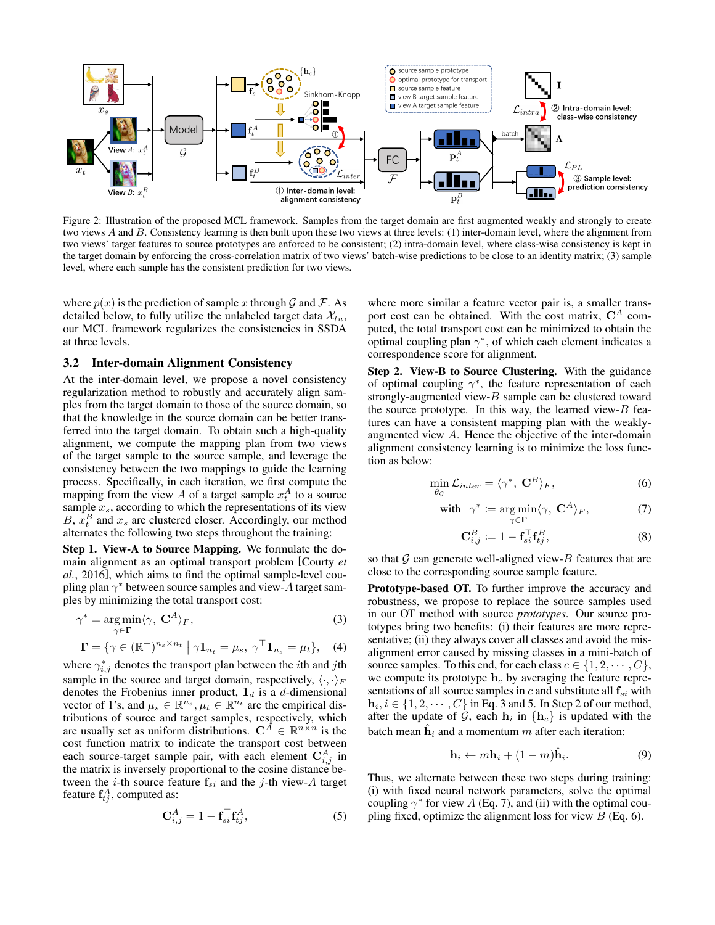<span id="page-2-0"></span>

Figure 2: Illustration of the proposed MCL framework. Samples from the target domain are first augmented weakly and strongly to create two views A and B. Consistency learning is then built upon these two views at three levels: (1) inter-domain level, where the alignment from two views' target features to source prototypes are enforced to be consistent; (2) intra-domain level, where class-wise consistency is kept in the target domain by enforcing the cross-correlation matrix of two views' batch-wise predictions to be close to an identity matrix; (3) sample level, where each sample has the consistent prediction for two views.

where  $p(x)$  is the prediction of sample x through G and F. As detailed below, to fully utilize the unlabeled target data  $\mathcal{X}_{tu}$ , our MCL framework regularizes the consistencies in SSDA at three levels.

#### 3.2 Inter-domain Alignment Consistency

At the inter-domain level, we propose a novel consistency regularization method to robustly and accurately align samples from the target domain to those of the source domain, so that the knowledge in the source domain can be better transferred into the target domain. To obtain such a high-quality alignment, we compute the mapping plan from two views of the target sample to the source sample, and leverage the consistency between the two mappings to guide the learning process. Specifically, in each iteration, we first compute the mapping from the view A of a target sample  $x_t^A$  to a source sample  $x_s$ , according to which the representations of its view  $B, x_t^B$  and  $x_s$  are clustered closer. Accordingly, our method alternates the following two steps throughout the training:

Step 1. View-A to Source Mapping. We formulate the domain alignment as an optimal transport problem [\[Courty](#page-6-13) *et al.*[, 2016\]](#page-6-13), which aims to find the optimal sample-level coupling plan  $\gamma^*$  between source samples and view-A target samples by minimizing the total transport cost:

$$
\gamma^* = \underset{\gamma \in \Gamma}{\arg \min} \langle \gamma, \mathbf{C}^A \rangle_F,\tag{3}
$$

$$
\mathbf{\Gamma} = \{ \gamma \in (\mathbb{R}^+)^{n_s \times n_t} \mid \gamma \mathbf{1}_{n_t} = \mu_s, \ \gamma^\top \mathbf{1}_{n_s} = \mu_t \}, \quad (4)
$$

where  $\gamma_{i,j}^*$  denotes the transport plan between the *i*th and *j*th sample in the source and target domain, respectively,  $\langle \cdot, \cdot \rangle_F$ denotes the Frobenius inner product,  $\mathbf{1}_d$  is a d-dimensional vector of 1's, and  $\mu_s \in \mathbb{R}^{n_s}$ ,  $\mu_t \in \mathbb{R}^{n_t}$  are the empirical distributions of source and target samples, respectively, which are usually set as uniform distributions.  $\mathbf{C}^A \in \mathbb{R}^{n \times n}$  is the cost function matrix to indicate the transport cost between each source-target sample pair, with each element  $C_{i,j}^A$  in the matrix is inversely proportional to the cosine distance between the *i*-th source feature  $f_{si}$  and the *j*-th view-A target feature  $\mathbf{f}_{tj}^A$ , computed as:

<span id="page-2-2"></span>
$$
\mathbf{C}_{i,j}^A = 1 - \mathbf{f}_{si}^\top \mathbf{f}_{tj}^A,\tag{5}
$$

where more similar a feature vector pair is, a smaller transport cost can be obtained. With the cost matrix,  $C^A$  computed, the total transport cost can be minimized to obtain the optimal coupling plan  $\gamma^*$ , of which each element indicates a correspondence score for alignment.

Step 2. View-B to Source Clustering. With the guidance of optimal coupling  $\gamma^*$ , the feature representation of each strongly-augmented view-B sample can be clustered toward the source prototype. In this way, the learned view- $B$  features can have a consistent mapping plan with the weaklyaugmented view A. Hence the objective of the inter-domain alignment consistency learning is to minimize the loss function as below:

$$
\min_{\theta_{\mathcal{G}}} \mathcal{L}_{inter} = \langle \gamma^*, \mathbf{C}^B \rangle_F, \tag{6}
$$

with 
$$
\gamma^* := \underset{\gamma \in \Gamma}{\arg \min} \langle \gamma, \mathbf{C}^A \rangle_F,
$$
 (7)

<span id="page-2-4"></span><span id="page-2-3"></span>
$$
\mathbf{C}_{i,j}^B := 1 - \mathbf{f}_{si}^\top \mathbf{f}_{tj}^B,\tag{8}
$$

so that  $G$  can generate well-aligned view- $B$  features that are close to the corresponding source sample feature.

<span id="page-2-1"></span>Prototype-based OT. To further improve the accuracy and robustness, we propose to replace the source samples used in our OT method with source *prototypes*. Our source prototypes bring two benefits: (i) their features are more representative; (ii) they always cover all classes and avoid the misalignment error caused by missing classes in a mini-batch of source samples. To this end, for each class  $c \in \{1, 2, \dots, C\}$ , we compute its prototype  $h_c$  by averaging the feature representations of all source samples in  $c$  and substitute all  $f_{si}$  with  $\mathbf{h}_i, i \in \{1, 2, \cdots, C\}$  in Eq. [3](#page-2-1) and [5.](#page-2-2) In Step 2 of our method, after the update of G, each  $h_i$  in  $\{h_c\}$  is updated with the batch mean  $\hat{\mathbf{h}}_i$  and a momentum m after each iteration:

$$
\mathbf{h}_i \leftarrow m\mathbf{h}_i + (1-m)\hat{\mathbf{h}}_i. \tag{9}
$$

Thus, we alternate between these two steps during training: (i) with fixed neural network parameters, solve the optimal coupling  $\gamma^*$  for view A (Eq. [7\)](#page-2-3), and (ii) with the optimal coupling fixed, optimize the alignment loss for view  $B$  (Eq. [6\)](#page-2-4).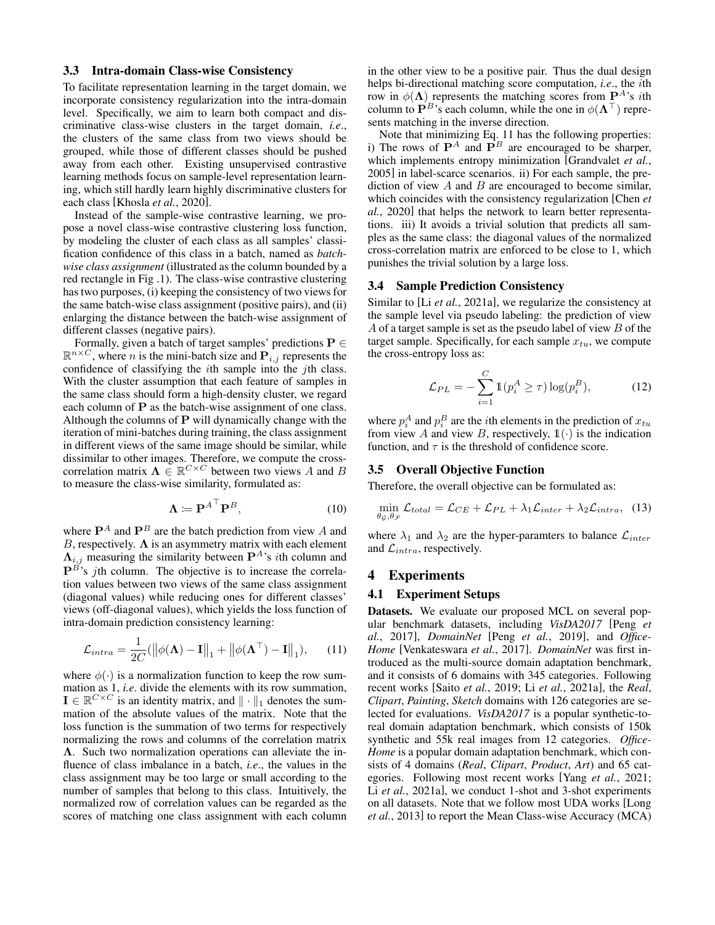#### 3.3 Intra-domain Class-wise Consistency

To facilitate representation learning in the target domain, we incorporate consistency regularization into the intra-domain level. Specifically, we aim to learn both compact and discriminative class-wise clusters in the target domain, *i.e*., the clusters of the same class from two views should be grouped, while those of different classes should be pushed away from each other. Existing unsupervised contrastive learning methods focus on sample-level representation learning, which still hardly learn highly discriminative clusters for each class [\[Khosla](#page-6-14) *et al.*, 2020].

Instead of the sample-wise contrastive learning, we propose a novel class-wise contrastive clustering loss function, by modeling the cluster of each class as all samples' classification confidence of this class in a batch, named as *batchwise class assignment* (illustrated as the column bounded by a red rectangle in Fig [.1\)](#page-0-0). The class-wise contrastive clustering has two purposes, (i) keeping the consistency of two views for the same batch-wise class assignment (positive pairs), and (ii) enlarging the distance between the batch-wise assignment of different classes (negative pairs).

Formally, given a batch of target samples' predictions  $P \in$  $\mathbb{R}^{n \times C}$ , where *n* is the mini-batch size and  $\mathbf{P}_{i,j}$  represents the confidence of classifying the ith sample into the jth class. With the cluster assumption that each feature of samples in the same class should form a high-density cluster, we regard each column of **P** as the batch-wise assignment of one class. Although the columns of  $P$  will dynamically change with the iteration of mini-batches during training, the class assignment in different views of the same image should be similar, while dissimilar to other images. Therefore, we compute the crosscorrelation matrix  $\Lambda \in \mathbb{R}^{C \times C}$  between two views A and B to measure the class-wise similarity, formulated as:

$$
\Lambda \coloneqq \mathbf{P}^{A^{\top}} \mathbf{P}^{B},\tag{10}
$$

where  $\mathbf{P}^{A}$  and  $\mathbf{P}^{B}$  are the batch prediction from view A and B, respectively.  $\Lambda$  is an asymmetry matrix with each element  $\Lambda_{i,j}$  measuring the similarity between  $\mathbf{P}^{A}$ 's *i*th column and  $\mathbf{P}^{B}$ 's *j*th column. The objective is to increase the correlation values between two views of the same class assignment (diagonal values) while reducing ones for different classes' views (off-diagonal values), which yields the loss function of intra-domain prediction consistency learning:

$$
\mathcal{L}_{intra} = \frac{1}{2C} (\left\| \phi(\mathbf{\Lambda}) - \mathbf{I} \right\|_1 + \left\| \phi(\mathbf{\Lambda}^\top) - \mathbf{I} \right\|_1), \qquad (11)
$$

where  $\phi(\cdot)$  is a normalization function to keep the row summation as 1, *i.e*. divide the elements with its row summation,  $\mathbf{I} \in \mathbb{R}^{C \times C}$  is an identity matrix, and  $\|\cdot\|_1$  denotes the summation of the absolute values of the matrix. Note that the loss function is the summation of two terms for respectively normalizing the rows and columns of the correlation matrix Λ. Such two normalization operations can alleviate the influence of class imbalance in a batch, *i.e*., the values in the class assignment may be too large or small according to the number of samples that belong to this class. Intuitively, the normalized row of correlation values can be regarded as the scores of matching one class assignment with each column in the other view to be a positive pair. Thus the dual design helps bi-directional matching score computation, *i.e*., the ith row in  $\phi(\Lambda)$  represents the matching scores from  $\mathbf{P}^{A}$ 's *i*th column to  $\mathbf{P}^{B}$ 's each column, while the one in  $\phi(\mathbf{\Lambda}^{\top})$  represents matching in the inverse direction.

Note that minimizing Eq. [11](#page-3-0) has the following properties: i) The rows of  $P^A$  and  $P^B$  are encouraged to be sharper, which implements entropy minimization [\[Grandvalet](#page-6-15) *et al.*, [2005\]](#page-6-15) in label-scarce scenarios. ii) For each sample, the prediction of view  $A$  and  $B$  are encouraged to become similar, which coincides with the consistency regularization [\[Chen](#page-6-11) *et al.*[, 2020\]](#page-6-11) that helps the network to learn better representations. iii) It avoids a trivial solution that predicts all samples as the same class: the diagonal values of the normalized cross-correlation matrix are enforced to be close to 1, which punishes the trivial solution by a large loss.

### 3.4 Sample Prediction Consistency

Similar to [Li *et al.*[, 2021a\]](#page-6-1), we regularize the consistency at the sample level via pseudo labeling: the prediction of view  $A$  of a target sample is set as the pseudo label of view  $B$  of the target sample. Specifically, for each sample  $x_{tu}$ , we compute the cross-entropy loss as:

<span id="page-3-1"></span>
$$
\mathcal{L}_{PL} = -\sum_{i=1}^{C} \mathbb{1}(p_i^A \ge \tau) \log(p_i^B), \tag{12}
$$

where  $p_i^A$  and  $p_i^B$  are the *i*th elements in the prediction of  $x_{tu}$ from view A and view B, respectively,  $\mathbb{1}(\cdot)$  is the indication function, and  $\tau$  is the threshold of confidence score.

#### 3.5 Overall Objective Function

Therefore, the overall objective can be formulated as:

$$
\min_{\theta_{\mathcal{G}},\theta_{\mathcal{F}}} \mathcal{L}_{total} = \mathcal{L}_{CE} + \mathcal{L}_{PL} + \lambda_1 \mathcal{L}_{inter} + \lambda_2 \mathcal{L}_{intra}, \quad (13)
$$

where  $\lambda_1$  and  $\lambda_2$  are the hyper-paramters to balance  $\mathcal{L}_{inter}$ and  $\mathcal{L}_{intra}$ , respectively.

#### 4 Experiments

#### 4.1 Experiment Setups

<span id="page-3-0"></span>Datasets. We evaluate our proposed MCL on several popular benchmark datasets, including *VisDA2017* [\[Peng](#page-6-16) *et al.*[, 2017\]](#page-6-16), *DomainNet* [Peng *et al.*[, 2019\]](#page-6-17), and *Office-Home* [\[Venkateswara](#page-6-18) *et al.*, 2017]. *DomainNet* was first introduced as the multi-source domain adaptation benchmark, and it consists of 6 domains with 345 categories. Following recent works [Saito *et al.*[, 2019;](#page-6-4) Li *et al.*[, 2021a\]](#page-6-1), the *Real*, *Clipart*, *Painting*, *Sketch* domains with 126 categories are selected for evaluations. *VisDA2017* is a popular synthetic-toreal domain adaptation benchmark, which consists of 150k synthetic and 55k real images from 12 categories. *Office-Home* is a popular domain adaptation benchmark, which consists of 4 domains (*Real*, *Clipart*, *Product*, *Art*) and 65 categories. Following most recent works [Yang *et al.*[, 2021;](#page-6-0) Li *et al.*[, 2021a\]](#page-6-1), we conduct 1-shot and 3-shot experiments on all datasets. Note that we follow most UDA works [\[Long](#page-6-19) *et al.*[, 2013\]](#page-6-19) to report the Mean Class-wise Accuracy (MCA)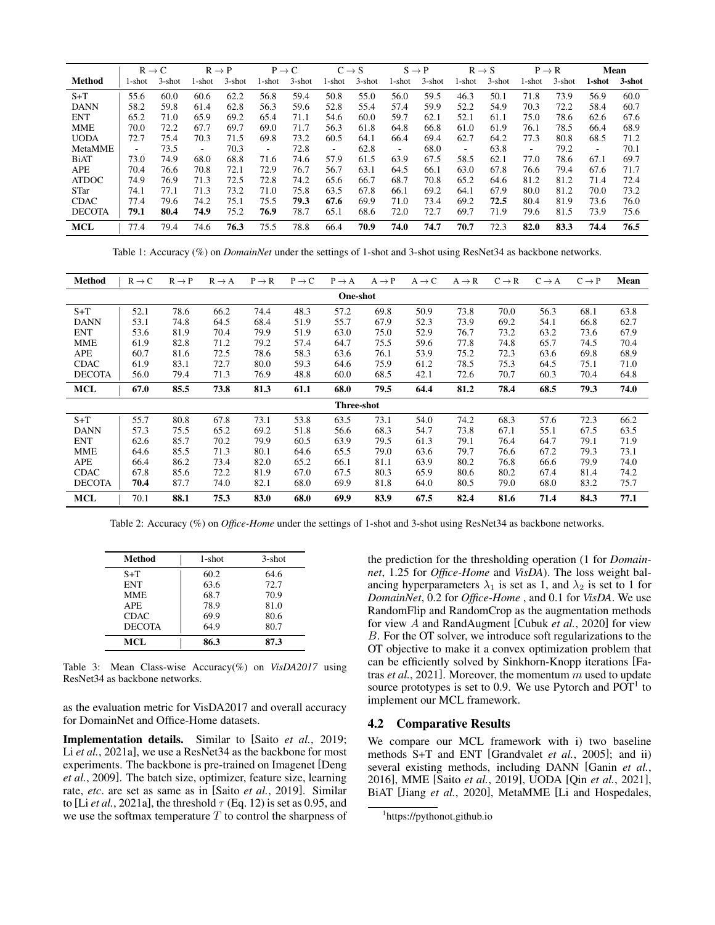<span id="page-4-1"></span>

|                | $R \rightarrow C$ |           |        | $R \rightarrow P$ |        | $P \rightarrow C$ | $C \rightarrow S$ |           | $S \rightarrow P$ |           | $R \rightarrow S$ |        |                          | $P \rightarrow R$ |        | <b>Mean</b> |
|----------------|-------------------|-----------|--------|-------------------|--------|-------------------|-------------------|-----------|-------------------|-----------|-------------------|--------|--------------------------|-------------------|--------|-------------|
| Method         | 1-shot            | $3$ -shot | l-shot | 3-shot            | 1-shot | $3$ -shot         | l-shot            | $3$ -shot | l-shot            | $3$ -shot | l-shot            | 3-shot | l-shot                   | 3-shot            | 1-shot | 3-shot      |
| $S+T$          | 55.6              | 60.0      | 60.6   | 62.2              | 56.8   | 59.4              | 50.8              | 55.0      | 56.0              | 59.5      | 46.3              | 50.1   | 71.8                     | 73.9              | 56.9   | 60.0        |
| <b>DANN</b>    | 58.2              | 59.8      | 61.4   | 62.8              | 56.3   | 59.6              | 52.8              | 55.4      | 57.4              | 59.9      | 52.2              | 54.9   | 70.3                     | 72.2              | 58.4   | 60.7        |
| <b>ENT</b>     | 65.2              | 71.0      | 65.9   | 69.2              | 65.4   | 71.1              | 54.6              | 60.0      | 59.7              | 62.1      | 52.1              | 61.1   | 75.0                     | 78.6              | 62.6   | 67.6        |
| <b>MME</b>     | 70.0              | 72.2      | 67.7   | 69.7              | 69.0   | 71.7              | 56.3              | 61.8      | 64.8              | 66.8      | 61.0              | 61.9   | 76.1                     | 78.5              | 66.4   | 68.9        |
| <b>UODA</b>    | 72.7              | 75.4      | 70.3   | 71.5              | 69.8   | 73.2              | 60.5              | 64.1      | 66.4              | 69.4      | 62.7              | 64.2   | 77.3                     | 80.8              | 68.5   | 71.2        |
| <b>MetaMME</b> |                   | 73.5      | ٠      | 70.3              | ۰      | 72.8              | ٠                 | 62.8      | ۰                 | 68.0      | ۰                 | 63.8   | $\overline{\phantom{a}}$ | 79.2              | ۰      | 70.1        |
| <b>BiAT</b>    | 73.0              | 74.9      | 68.0   | 68.8              | 71.6   | 74.6              | 57.9              | 61.5      | 63.9              | 67.5      | 58.5              | 62.1   | 77.0                     | 78.6              | 67.1   | 69.7        |
| <b>APE</b>     | 70.4              | 76.6      | 70.8   | 72.1              | 72.9   | 76.7              | 56.7              | 63.1      | 64.5              | 66.1      | 63.0              | 67.8   | 76.6                     | 79.4              | 67.6   | 71.7        |
| <b>ATDOC</b>   | 74.9              | 76.9      | 71.3   | 72.5              | 72.8   | 74.2              | 65.6              | 66.7      | 68.7              | 70.8      | 65.2              | 64.6   | 81.2                     | 81.2              | 71.4   | 72.4        |
| <b>STar</b>    | 74.1              | 77.1      | 71.3   | 73.2              | 71.0   | 75.8              | 63.5              | 67.8      | 66.1              | 69.2      | 64.1              | 67.9   | 80.0                     | 81.2              | 70.0   | 73.2        |
| <b>CDAC</b>    | 77.4              | 79.6      | 74.2   | 75.1              | 75.5   | 79.3              | 67.6              | 69.9      | 71.0              | 73.4      | 69.2              | 72.5   | 80.4                     | 81.9              | 73.6   | 76.0        |
| <b>DECOTA</b>  | 79.1              | 80.4      | 74.9   | 75.2              | 76.9   | 78.7              | 65.1              | 68.6      | 72.0              | 72.7      | 69.7              | 71.9   | 79.6                     | 81.5              | 73.9   | 75.6        |
| <b>MCL</b>     | 77.4              | 79.4      | 74.6   | 76.3              | 75.5   | 78.8              | 66.4              | 70.9      | 74.0              | 74.7      | 70.7              | 72.3   | 82.0                     | 83.3              | 74.4   | 76.5        |

Table 1: Accuracy (%) on *DomainNet* under the settings of 1-shot and 3-shot using ResNet34 as backbone networks.

<span id="page-4-2"></span>

| Method        | $R \rightarrow C$ | $R \rightarrow P$ | $R \rightarrow A$ | $P \rightarrow R$ | $P \rightarrow C$ | $P \rightarrow A$ | $A \rightarrow P$ | $A \rightarrow C$ | $A \rightarrow R$ | $C \rightarrow R$ | $C \rightarrow A$ | $C \rightarrow P$ | Mean |
|---------------|-------------------|-------------------|-------------------|-------------------|-------------------|-------------------|-------------------|-------------------|-------------------|-------------------|-------------------|-------------------|------|
|               |                   |                   |                   |                   |                   | <b>One-shot</b>   |                   |                   |                   |                   |                   |                   |      |
| $S+T$         | 52.1              | 78.6              | 66.2              | 74.4              | 48.3              | 57.2              | 69.8              | 50.9              | 73.8              | 70.0              | 56.3              | 68.1              | 63.8 |
| <b>DANN</b>   | 53.1              | 74.8              | 64.5              | 68.4              | 51.9              | 55.7              | 67.9              | 52.3              | 73.9              | 69.2              | 54.1              | 66.8              | 62.7 |
| <b>ENT</b>    | 53.6              | 81.9              | 70.4              | 79.9              | 51.9              | 63.0              | 75.0              | 52.9              | 76.7              | 73.2              | 63.2              | 73.6              | 67.9 |
| <b>MME</b>    | 61.9              | 82.8              | 71.2              | 79.2              | 57.4              | 64.7              | 75.5              | 59.6              | 77.8              | 74.8              | 65.7              | 74.5              | 70.4 |
| <b>APE</b>    | 60.7              | 81.6              | 72.5              | 78.6              | 58.3              | 63.6              | 76.1              | 53.9              | 75.2              | 72.3              | 63.6              | 69.8              | 68.9 |
| <b>CDAC</b>   | 61.9              | 83.1              | 72.7              | 80.0              | 59.3              | 64.6              | 75.9              | 61.2              | 78.5              | 75.3              | 64.5              | 75.1              | 71.0 |
| <b>DECOTA</b> | 56.0              | 79.4              | 71.3              | 76.9              | 48.8              | 60.0              | 68.5              | 42.1              | 72.6              | 70.7              | 60.3              | 70.4              | 64.8 |
| <b>MCL</b>    | 67.0              | 85.5              | 73.8              | 81.3              | 61.1              | 68.0              | 79.5              | 64.4              | 81.2              | 78.4              | 68.5              | 79.3              | 74.0 |
| Three-shot    |                   |                   |                   |                   |                   |                   |                   |                   |                   |                   |                   |                   |      |
| $S+T$         | 55.7              | 80.8              | 67.8              | 73.1              | 53.8              | 63.5              | 73.1              | 54.0              | 74.2              | 68.3              | 57.6              | 72.3              | 66.2 |
| <b>DANN</b>   | 57.3              | 75.5              | 65.2              | 69.2              | 51.8              | 56.6              | 68.3              | 54.7              | 73.8              | 67.1              | 55.1              | 67.5              | 63.5 |
| <b>ENT</b>    | 62.6              | 85.7              | 70.2              | 79.9              | 60.5              | 63.9              | 79.5              | 61.3              | 79.1              | 76.4              | 64.7              | 79.1              | 71.9 |
| <b>MME</b>    | 64.6              | 85.5              | 71.3              | 80.1              | 64.6              | 65.5              | 79.0              | 63.6              | 79.7              | 76.6              | 67.2              | 79.3              | 73.1 |
| APE           | 66.4              | 86.2              | 73.4              | 82.0              | 65.2              | 66.1              | 81.1              | 63.9              | 80.2              | 76.8              | 66.6              | 79.9              | 74.0 |
| <b>CDAC</b>   | 67.8              | 85.6              | 72.2              | 81.9              | 67.0              | 67.5              | 80.3              | 65.9              | 80.6              | 80.2              | 67.4              | 81.4              | 74.2 |
| <b>DECOTA</b> | 70.4              | 87.7              | 74.0              | 82.1              | 68.0              | 69.9              | 81.8              | 64.0              | 80.5              | 79.0              | 68.0              | 83.2              | 75.7 |
| <b>MCL</b>    | 70.1              | 88.1              | 75.3              | 83.0              | 68.0              | 69.9              | 83.9              | 67.5              | 82.4              | 81.6              | 71.4              | 84.3              | 77.1 |

Table 2: Accuracy (%) on *Office-Home* under the settings of 1-shot and 3-shot using ResNet34 as backbone networks.

<span id="page-4-3"></span>

| Method        | 1-shot | $3$ -shot |
|---------------|--------|-----------|
| $S+T$         | 60.2   | 64.6      |
| <b>ENT</b>    | 63.6   | 72.7      |
| MME           | 68.7   | 70.9      |
| APE.          | 78.9   | 81.0      |
| <b>CDAC</b>   | 69.9   | 80.6      |
| <b>DECOTA</b> | 64.9   | 80.7      |
| MCL.          | 86.3   | 87.3      |

Table 3: Mean Class-wise Accuracy(%) on *VisDA2017* using ResNet34 as backbone networks.

as the evaluation metric for VisDA2017 and overall accuracy for DomainNet and Office-Home datasets.

Implementation details. Similar to [Saito *et al.*[, 2019;](#page-6-4) Li *et al.*[, 2021a\]](#page-6-1), we use a ResNet34 as the backbone for most experiments. The backbone is pre-trained on Imagenet [\[Deng](#page-6-20) *et al.*[, 2009\]](#page-6-20). The batch size, optimizer, feature size, learning rate, *etc*. are set as same as in [Saito *et al.*[, 2019\]](#page-6-4). Similar to [Li *et al.*[, 2021a\]](#page-6-1), the threshold  $\tau$  (Eq. [12\)](#page-3-1) is set as 0.95, and we use the softmax temperature  $T$  to control the sharpness of the prediction for the thresholding operation (1 for *Domainnet*, 1.25 for *Office-Home* and *VisDA*). The loss weight balancing hyperparameters  $\lambda_1$  is set as 1, and  $\lambda_2$  is set to 1 for *DomainNet*, 0.2 for *Office-Home* , and 0.1 for *VisDA*. We use RandomFlip and RandomCrop as the augmentation methods for view A and RandAugment [\[Cubuk](#page-6-21) *et al.*, 2020] for view B. For the OT solver, we introduce soft regularizations to the OT objective to make it a convex optimization problem that can be efficiently solved by Sinkhorn-Knopp iterations [\[Fa](#page-6-22)tras *et al.*[, 2021\]](#page-6-22). Moreover, the momentum m used to update source prototypes is set to 0.9. We use Pytorch and  $POT<sup>1</sup>$  $POT<sup>1</sup>$  $POT<sup>1</sup>$  to implement our MCL framework.

## 4.2 Comparative Results

We compare our MCL framework with i) two baseline methods S+T and ENT [\[Grandvalet](#page-6-15) *et al.*, 2005]; and ii) several existing methods, including DANN [\[Ganin](#page-6-23) *et al.*, [2016\]](#page-6-23), MME [Saito *et al.*[, 2019\]](#page-6-4), UODA [Qin *et al.*[, 2021\]](#page-6-5), BiAT [Jiang *et al.*[, 2020\]](#page-6-8), MetaMME [\[Li and Hospedales,](#page-6-24)

<span id="page-4-0"></span><sup>1</sup> [https://pythonot.github.io](#page-6-24)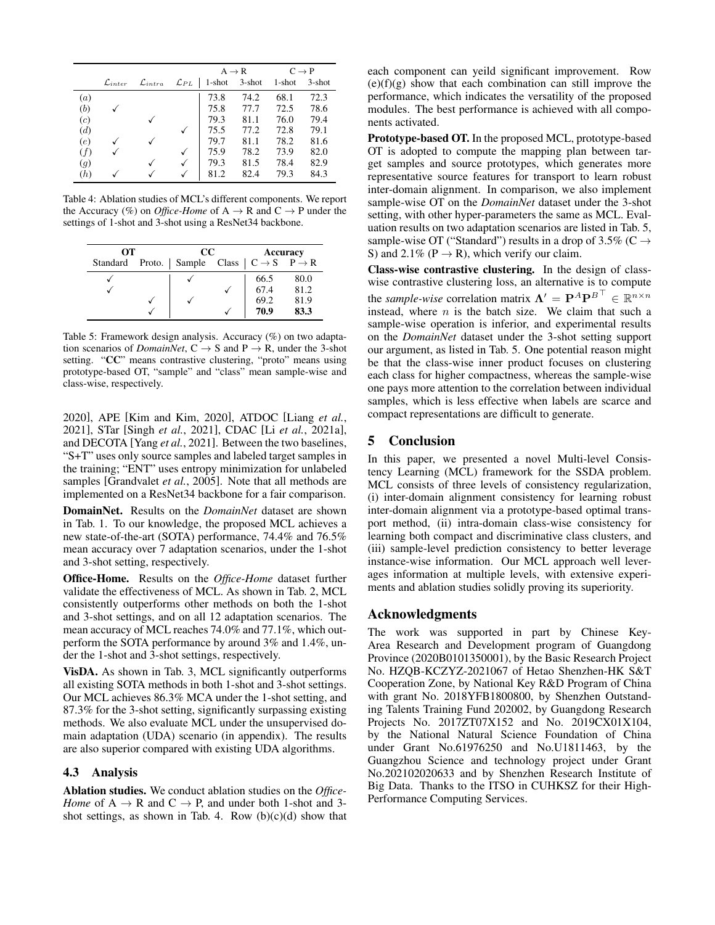<span id="page-5-0"></span>

|     |                       |                       |                    | $A \rightarrow R$ | $C \rightarrow P$ |        |           |
|-----|-----------------------|-----------------------|--------------------|-------------------|-------------------|--------|-----------|
|     | $\mathcal{L}_{inter}$ | $\mathcal{L}_{intra}$ | $\mathcal{L}_{PL}$ | $\vert$ 1-shot    | $3$ -shot         | 1-shot | $3$ -shot |
| (a) |                       |                       |                    | 73.8              | 74.2              | 68.1   | 72.3      |
| (b) |                       |                       |                    | 75.8              | 77.7              | 72.5   | 78.6      |
| (c) |                       |                       |                    | 79.3              | 81.1              | 76.0   | 79.4      |
| (d) |                       |                       |                    | 75.5              | 77.2              | 72.8   | 79.1      |
| (e) |                       |                       |                    | 79.7              | 81.1              | 78.2   | 81.6      |
| (f) |                       |                       |                    | 75.9              | 78.2              | 73.9   | 82.0      |
| (g) |                       |                       |                    | 79.3              | 81.5              | 78.4   | 82.9      |
| (h) |                       |                       |                    | 81.2              | 82.4              | 79.3   | 84.3      |

Table 4: Ablation studies of MCL's different components. We report the Accuracy (%) on *Office-Home* of  $A \rightarrow R$  and  $C \rightarrow P$  under the settings of 1-shot and 3-shot using a ResNet34 backbone.

<span id="page-5-1"></span>

| OТ                                                                           |  | $_{\rm CC}$ | Accuracy |      |  |
|------------------------------------------------------------------------------|--|-------------|----------|------|--|
| Standard Proto.   Sample Class $\vert C \rightarrow S \quad P \rightarrow R$ |  |             |          |      |  |
|                                                                              |  |             | 66.5     | 80.0 |  |
|                                                                              |  |             | 67.4     | 81.2 |  |
|                                                                              |  |             | 69.2     | 81.9 |  |
|                                                                              |  |             | 70.9     | 83.3 |  |

Table 5: Framework design analysis. Accuracy (%) on two adaptation scenarios of *DomainNet*,  $C \rightarrow S$  and  $P \rightarrow R$ , under the 3-shot setting. "CC" means contrastive clustering, "proto" means using prototype-based OT, "sample" and "class" mean sample-wise and class-wise, respectively.

[2020\]](#page-6-24), APE [\[Kim and Kim, 2020\]](#page-6-7), ATDOC [\[Liang](#page-6-25) *et al.*, [2021\]](#page-6-25), STar [Singh *et al.*[, 2021\]](#page-6-26), CDAC [Li *et al.*[, 2021a\]](#page-6-1), and DECOTA [Yang *et al.*[, 2021\]](#page-6-0). Between the two baselines, "S+T" uses only source samples and labeled target samples in the training; "ENT" uses entropy minimization for unlabeled samples [\[Grandvalet](#page-6-15) *et al.*, 2005]. Note that all methods are implemented on a ResNet34 backbone for a fair comparison.

DomainNet. Results on the *DomainNet* dataset are shown in Tab. [1.](#page-4-1) To our knowledge, the proposed MCL achieves a new state-of-the-art (SOTA) performance, 74.4% and 76.5% mean accuracy over 7 adaptation scenarios, under the 1-shot and 3-shot setting, respectively.

Office-Home. Results on the *Office-Home* dataset further validate the effectiveness of MCL. As shown in Tab. [2,](#page-4-2) MCL consistently outperforms other methods on both the 1-shot and 3-shot settings, and on all 12 adaptation scenarios. The mean accuracy of MCL reaches 74.0% and 77.1%, which outperform the SOTA performance by around 3% and 1.4%, under the 1-shot and 3-shot settings, respectively.

VisDA. As shown in Tab. [3,](#page-4-3) MCL significantly outperforms all existing SOTA methods in both 1-shot and 3-shot settings. Our MCL achieves 86.3% MCA under the 1-shot setting, and 87.3% for the 3-shot setting, significantly surpassing existing methods. We also evaluate MCL under the unsupervised domain adaptation (UDA) scenario (in appendix). The results are also superior compared with existing UDA algorithms.

### 4.3 Analysis

Ablation studies. We conduct ablation studies on the *Office-Home* of  $A \rightarrow R$  and  $C \rightarrow P$ , and under both 1-shot and 3-shot settings, as shown in Tab. [4.](#page-5-0) Row  $(b)(c)(d)$  show that each component can yeild significant improvement. Row  $(e)(f)(g)$  show that each combination can still improve the performance, which indicates the versatility of the proposed modules. The best performance is achieved with all components activated.

Prototype-based OT. In the proposed MCL, prototype-based OT is adopted to compute the mapping plan between target samples and source prototypes, which generates more representative source features for transport to learn robust inter-domain alignment. In comparison, we also implement sample-wise OT on the *DomainNet* dataset under the 3-shot setting, with other hyper-parameters the same as MCL. Evaluation results on two adaptation scenarios are listed in Tab. [5,](#page-5-1) sample-wise OT ("Standard") results in a drop of 3.5% ( $C \rightarrow$ S) and 2.1% ( $P \rightarrow R$ ), which verify our claim.

Class-wise contrastive clustering. In the design of classwise contrastive clustering loss, an alternative is to compute the *sample-wise* correlation matrix  $\Lambda' = P^A P^{B \top} \in \mathbb{R}^{n \times n}$ instead, where  $n$  is the batch size. We claim that such a sample-wise operation is inferior, and experimental results on the *DomainNet* dataset under the 3-shot setting support our argument, as listed in Tab. [5.](#page-5-1) One potential reason might be that the class-wise inner product focuses on clustering each class for higher compactness, whereas the sample-wise one pays more attention to the correlation between individual samples, which is less effective when labels are scarce and compact representations are difficult to generate.

### 5 Conclusion

In this paper, we presented a novel Multi-level Consistency Learning (MCL) framework for the SSDA problem. MCL consists of three levels of consistency regularization, (i) inter-domain alignment consistency for learning robust inter-domain alignment via a prototype-based optimal transport method, (ii) intra-domain class-wise consistency for learning both compact and discriminative class clusters, and (iii) sample-level prediction consistency to better leverage instance-wise information. Our MCL approach well leverages information at multiple levels, with extensive experiments and ablation studies solidly proving its superiority.

### Acknowledgments

The work was supported in part by Chinese Key-Area Research and Development program of Guangdong Province (2020B0101350001), by the Basic Research Project No. HZQB-KCZYZ-2021067 of Hetao Shenzhen-HK S&T Cooperation Zone, by National Key R&D Program of China with grant No. 2018YFB1800800, by Shenzhen Outstanding Talents Training Fund 202002, by Guangdong Research Projects No. 2017ZT07X152 and No. 2019CX01X104, by the National Natural Science Foundation of China under Grant No.61976250 and No.U1811463, by the Guangzhou Science and technology project under Grant No.202102020633 and by Shenzhen Research Institute of Big Data. Thanks to the ITSO in CUHKSZ for their High-Performance Computing Services.